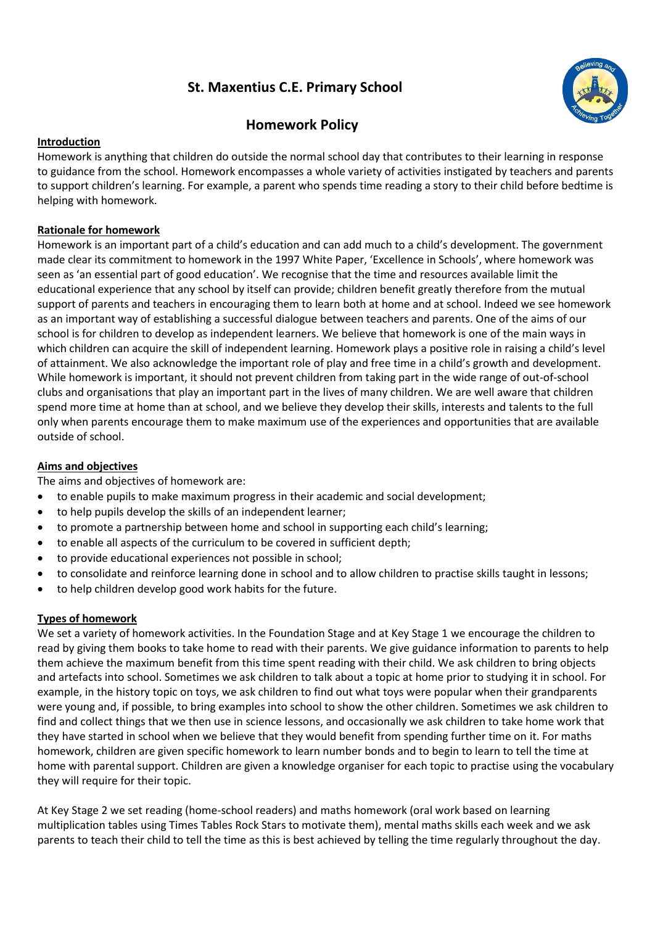# **St. Maxentius C.E. Primary School**



## **Homework Policy**

## **Introduction**

Homework is anything that children do outside the normal school day that contributes to their learning in response to guidance from the school. Homework encompasses a whole variety of activities instigated by teachers and parents to support children's learning. For example, a parent who spends time reading a story to their child before bedtime is helping with homework.

## **Rationale for homework**

Homework is an important part of a child's education and can add much to a child's development. The government made clear its commitment to homework in the 1997 White Paper, 'Excellence in Schools', where homework was seen as 'an essential part of good education'. We recognise that the time and resources available limit the educational experience that any school by itself can provide; children benefit greatly therefore from the mutual support of parents and teachers in encouraging them to learn both at home and at school. Indeed we see homework as an important way of establishing a successful dialogue between teachers and parents. One of the aims of our school is for children to develop as independent learners. We believe that homework is one of the main ways in which children can acquire the skill of independent learning. Homework plays a positive role in raising a child's level of attainment. We also acknowledge the important role of play and free time in a child's growth and development. While homework is important, it should not prevent children from taking part in the wide range of out-of-school clubs and organisations that play an important part in the lives of many children. We are well aware that children spend more time at home than at school, and we believe they develop their skills, interests and talents to the full only when parents encourage them to make maximum use of the experiences and opportunities that are available outside of school.

## **Aims and objectives**

The aims and objectives of homework are:

- to enable pupils to make maximum progress in their academic and social development;
- to help pupils develop the skills of an independent learner;
- to promote a partnership between home and school in supporting each child's learning;
- to enable all aspects of the curriculum to be covered in sufficient depth;
- to provide educational experiences not possible in school;
- to consolidate and reinforce learning done in school and to allow children to practise skills taught in lessons;
- to help children develop good work habits for the future.

## **Types of homework**

We set a variety of homework activities. In the Foundation Stage and at Key Stage 1 we encourage the children to read by giving them books to take home to read with their parents. We give guidance information to parents to help them achieve the maximum benefit from this time spent reading with their child. We ask children to bring objects and artefacts into school. Sometimes we ask children to talk about a topic at home prior to studying it in school. For example, in the history topic on toys, we ask children to find out what toys were popular when their grandparents were young and, if possible, to bring examples into school to show the other children. Sometimes we ask children to find and collect things that we then use in science lessons, and occasionally we ask children to take home work that they have started in school when we believe that they would benefit from spending further time on it. For maths homework, children are given specific homework to learn number bonds and to begin to learn to tell the time at home with parental support. Children are given a knowledge organiser for each topic to practise using the vocabulary they will require for their topic.

At Key Stage 2 we set reading (home-school readers) and maths homework (oral work based on learning multiplication tables using Times Tables Rock Stars to motivate them), mental maths skills each week and we ask parents to teach their child to tell the time as this is best achieved by telling the time regularly throughout the day.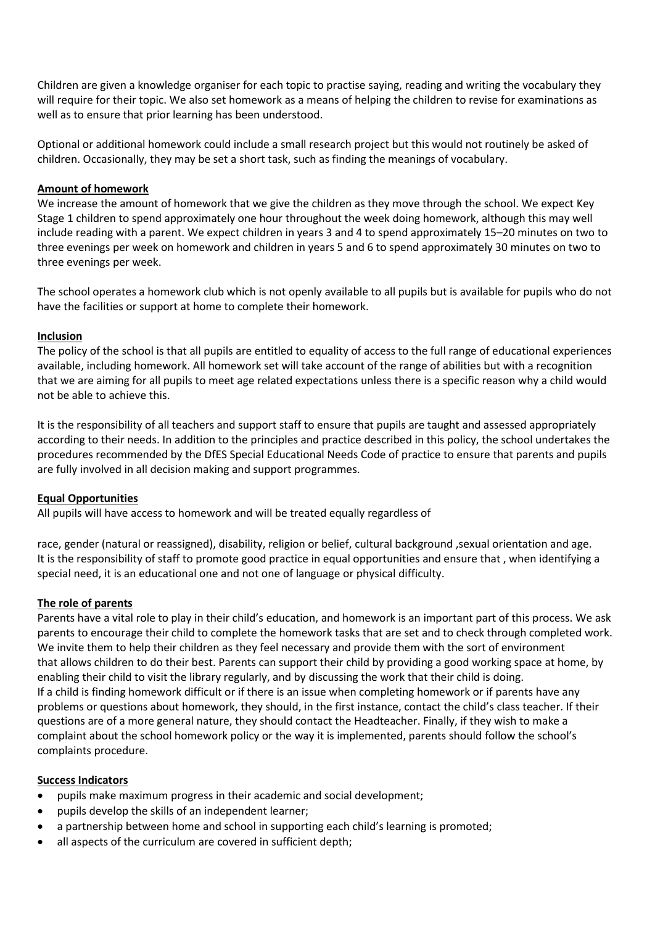Children are given a knowledge organiser for each topic to practise saying, reading and writing the vocabulary they will require for their topic. We also set homework as a means of helping the children to revise for examinations as well as to ensure that prior learning has been understood.

Optional or additional homework could include a small research project but this would not routinely be asked of children. Occasionally, they may be set a short task, such as finding the meanings of vocabulary.

#### **Amount of homework**

We increase the amount of homework that we give the children as they move through the school. We expect Key Stage 1 children to spend approximately one hour throughout the week doing homework, although this may well include reading with a parent. We expect children in years 3 and 4 to spend approximately 15–20 minutes on two to three evenings per week on homework and children in years 5 and 6 to spend approximately 30 minutes on two to three evenings per week.

The school operates a homework club which is not openly available to all pupils but is available for pupils who do not have the facilities or support at home to complete their homework.

#### **Inclusion**

The policy of the school is that all pupils are entitled to equality of access to the full range of educational experiences available, including homework. All homework set will take account of the range of abilities but with a recognition that we are aiming for all pupils to meet age related expectations unless there is a specific reason why a child would not be able to achieve this.

It is the responsibility of all teachers and support staff to ensure that pupils are taught and assessed appropriately according to their needs. In addition to the principles and practice described in this policy, the school undertakes the procedures recommended by the DfES Special Educational Needs Code of practice to ensure that parents and pupils are fully involved in all decision making and support programmes.

## **Equal Opportunities**

All pupils will have access to homework and will be treated equally regardless of

race, gender (natural or reassigned), disability, religion or belief, cultural background ,sexual orientation and age. It is the responsibility of staff to promote good practice in equal opportunities and ensure that , when identifying a special need, it is an educational one and not one of language or physical difficulty.

#### **The role of parents**

Parents have a vital role to play in their child's education, and homework is an important part of this process. We ask parents to encourage their child to complete the homework tasks that are set and to check through completed work. We invite them to help their children as they feel necessary and provide them with the sort of environment that allows children to do their best. Parents can support their child by providing a good working space at home, by enabling their child to visit the library regularly, and by discussing the work that their child is doing. If a child is finding homework difficult or if there is an issue when completing homework or if parents have any problems or questions about homework, they should, in the first instance, contact the child's class teacher. If their questions are of a more general nature, they should contact the Headteacher. Finally, if they wish to make a complaint about the school homework policy or the way it is implemented, parents should follow the school's complaints procedure.

#### **Success Indicators**

- pupils make maximum progress in their academic and social development;
- pupils develop the skills of an independent learner;
- a partnership between home and school in supporting each child's learning is promoted;
- all aspects of the curriculum are covered in sufficient depth;